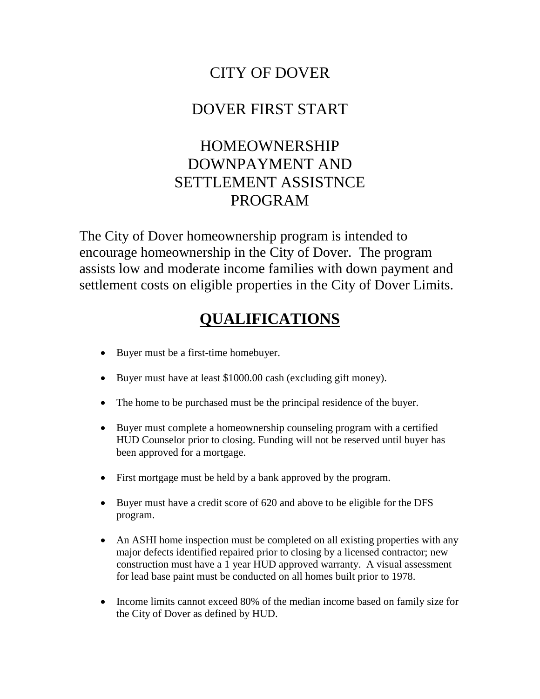### CITY OF DOVER

### DOVER FIRST START

# HOMEOWNERSHIP DOWNPAYMENT AND SETTLEMENT ASSISTNCE PROGRAM

The City of Dover homeownership program is intended to encourage homeownership in the City of Dover. The program assists low and moderate income families with down payment and settlement costs on eligible properties in the City of Dover Limits.

# **QUALIFICATIONS**

- Buyer must be a first-time homebuyer.
- Buyer must have at least \$1000.00 cash (excluding gift money).
- The home to be purchased must be the principal residence of the buyer.
- Buyer must complete a homeownership counseling program with a certified HUD Counselor prior to closing. Funding will not be reserved until buyer has been approved for a mortgage.
- First mortgage must be held by a bank approved by the program.
- Buyer must have a credit score of 620 and above to be eligible for the DFS program.
- An ASHI home inspection must be completed on all existing properties with any major defects identified repaired prior to closing by a licensed contractor; new construction must have a 1 year HUD approved warranty. A visual assessment for lead base paint must be conducted on all homes built prior to 1978.
- Income limits cannot exceed 80% of the median income based on family size for the City of Dover as defined by HUD.